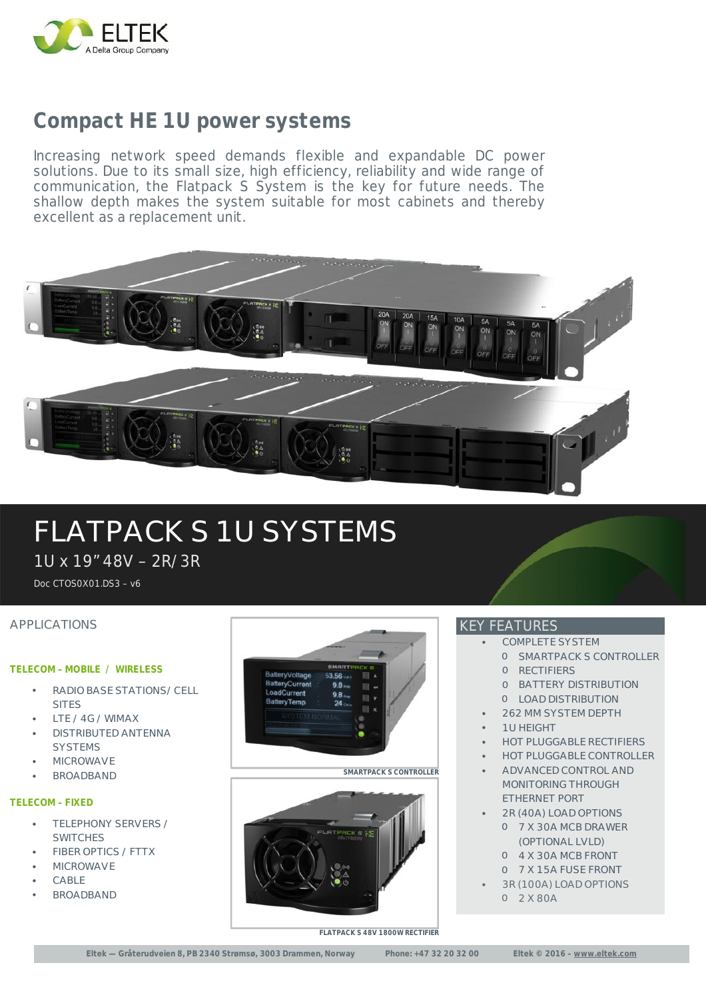

### **Compact HE 1U power systems**

Increasing network speed demands flexible and expandable DC power solutions. Due to its small size, high efficiency, reliability and wide range of communication, the Flatpack S System is the key for future needs. The shallow depth makes the system suitable for most cabinets and thereby excellent as a replacement unit.



## FLATPACK S 1U SYSTEMS

1U x 19" 48V – 2R/3R

Doc CTOS0X01.DS3 – v6

#### APPLICATIONS

#### **TELECOM – MOBILE / WIRELESS**

- RADIO BASE STATIONS/ CELL **SITES**
- LTE / 4G / WIMAX
- DISTRIBUTED ANTENNA **SYSTEMS**
- **MICROWAVE**
- BROADBAND

#### **TELECOM – FIXED**

- TELEPHONY SERVERS / **SWITCHES**
- FIBER OPTICS / FTTX
- **MICROWAVE**
- CABLE
- BROADBAND



#### **SMARTPACK S CONTROLLER**



#### KEY FEATURES

- COMPLETE SYSTEM
	- O SMARTPACK S CONTROLLER O RECTIFIERS
		- O BATTERY DISTRIBUTION
	- O LOAD DISTRIBUTION
- 262 MM SYSTEM DEPTH
- 1U HEIGHT
- HOT PLUGGABLE RECTIFIERS
- **HOT PLUGGABLE CONTROLLER**
- ADVANCED CONTROL AND MONITORING THROUGH ETHERNET PORT
- 2R (40A) LOAD OPTIONS O 7 X 30A MCB DRAWER (OPTIONAL LVLD)
	- O 4 X 30A MCB FRONT
	- O 7 X 15A FUSE FRONT
- 3R (100A) LOAD OPTIONS O 2 X 80A

**FLATPACK S 48V 1800W RECTIFIER**